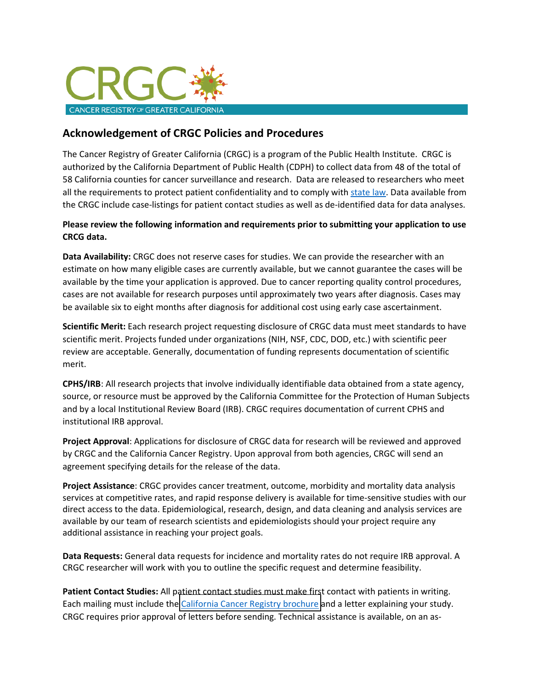

## **Acknowledgement of CRGC Policies and Procedures**

The Cancer Registry of Greater California (CRGC) is a program of the Public Health Institute. CRGC is authorized by the California Department of Public Health (CDPH) to collect data from 48 of the total of 58 California counties for cancer surveillance and research. Data are released to researchers who meet all the requirements to protect patient confidentiality and to comply with state law. Data available from the CRGC include case-listings for patient contact studies as well as de-identified data for data analyses.

## **Please review the following information and requirements prior to submitting your application to use CRCG data.**

**Data Availability:** CRGC does not reserve cases for studies. We can provide the researcher with an estimate on how many eligible cases are currently available, but we cannot guarantee the cases will be available by the time your application is approved. Due to cancer reporting quality control procedures, cases are not available for research purposes until approximately two years after diagnosis. Cases may be available six to eight months after diagnosis for additional cost using early case ascertainment.

**Scientific Merit:** Each research project requesting disclosure of CRGC data must meet standards to have scientific merit. Projects funded under organizations (NIH, NSF, CDC, DOD, etc.) with scientific peer review are acceptable. Generally, documentation of funding represents documentation of scientific merit.

**CPHS/IRB**: All research projects that involve individually identifiable data obtained from a state agency, source, or resource must be approved by the California Committee for the Protection of Human Subjects and by a local Institutional Review Board (IRB). CRGC requires documentation of current CPHS and institutional IRB approval.

**Project Approval**: Applications for disclosure of CRGC data for research will be reviewed and approved by CRGC and the California Cancer Registry. Upon approval from both agencies, CRGC will send an agreement specifying details for the release of the data.

**Project Assistance**: CRGC provides cancer treatment, outcome, morbidity and mortality data analysis services at competitive rates, and rapid response delivery is available for time-sensitive studies with our direct access to the data. Epidemiological, research, design, and data cleaning and analysis services are available by our team of research scientists and epidemiologists should your project require any additional assistance in reaching your project goals.

**Data Requests:** General data requests for incidence and mortality rates do not require IRB approval. A CRGC researcher will work with you to outline the specific request and determine feasibility.

**Patient Contact Studies:** All patient contact studies must make first contact with patients in writing. Each mailing must include the [California Cancer Registry brochure a](https://www.ccrcal.org/wp-admin/admin-ajax.php?juwpfisadmin=false&action=wpfd&task=file.download&wpfd_category_id=163&wpfd_file_id=7978&token=20219fba6fdabc240571ccd715a057a9&preview=1)nd a letter explaining your study. CRGC requires prior approval of letters before sending. Technical assistance is available, on an as